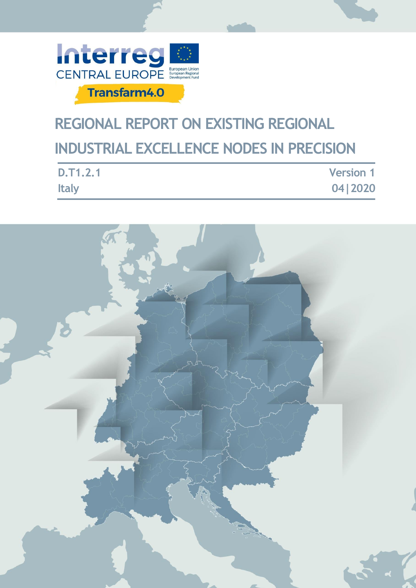

# **REGIONAL REPORT ON EXISTING REGIONAL INDUSTRIAL EXCELLENCE NODES IN PRECISION**

| D.T1.2.1     | <b>Version 1</b> |
|--------------|------------------|
| <b>Italy</b> | 04   2020        |

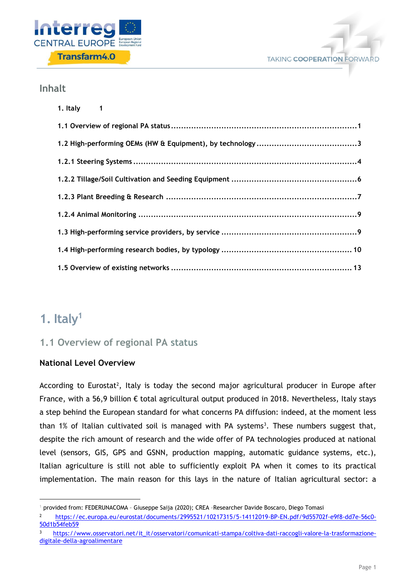



## **Inhalt**

| 1. Italy 1 |
|------------|
|            |
|            |
|            |
|            |
|            |
|            |
|            |
|            |
|            |

## <span id="page-1-0"></span>**1. Italy<sup>1</sup>**

-

## <span id="page-1-1"></span>**1.1 Overview of regional PA status**

#### **National Level Overview**

According to Eurostat<sup>2</sup>, Italy is today the second major agricultural producer in Europe after France, with a 56,9 billion € total agricultural output produced in 2018. Nevertheless, Italy stays a step behind the European standard for what concerns PA diffusion: indeed, at the moment less than  $1\%$  of Italian cultivated soil is managed with PA systems<sup>3</sup>. These numbers suggest that, despite the rich amount of research and the wide offer of PA technologies produced at national level (sensors, GIS, GPS and GSNN, production mapping, automatic guidance systems, etc.), Italian agriculture is still not able to sufficiently exploit PA when it comes to its practical implementation. The main reason for this lays in the nature of Italian agricultural sector: a

<sup>1</sup> provided from: FEDERUNACOMA – Giuseppe Saija (2020); CREA –Researcher Davide Boscaro, Diego Tomasi

<sup>2</sup> [https://ec.europa.eu/eurostat/documents/2995521/10217315/5-14112019-BP-EN.pdf/9d55702f-e9f8-dd7e-56c0-](https://ec.europa.eu/eurostat/documents/2995521/10217315/5-14112019-BP-EN.pdf/9d55702f-e9f8-dd7e-56c0-50d1b54feb59) [50d1b54feb59](https://ec.europa.eu/eurostat/documents/2995521/10217315/5-14112019-BP-EN.pdf/9d55702f-e9f8-dd7e-56c0-50d1b54feb59)

<sup>3</sup> [https://www.osservatori.net/it\\_it/osservatori/comunicati-stampa/coltiva-dati-raccogli-valore-la-trasformazione](https://www.osservatori.net/it_it/osservatori/comunicati-stampa/coltiva-dati-raccogli-valore-la-trasformazione-digitale-della-agroalimentare)[digitale-della-agroalimentare](https://www.osservatori.net/it_it/osservatori/comunicati-stampa/coltiva-dati-raccogli-valore-la-trasformazione-digitale-della-agroalimentare)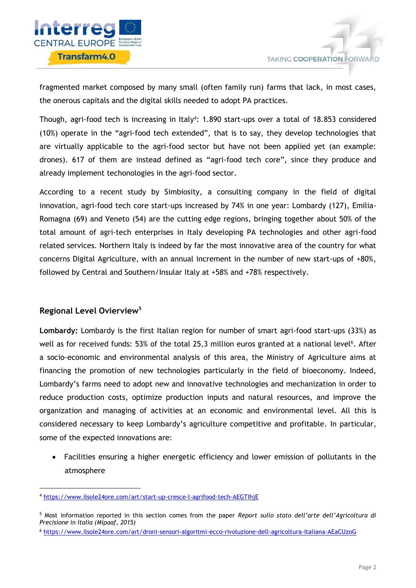

fragmented market composed by many small (often family run) farms that lack, in most cases, the onerous capitals and the digital skills needed to adopt PA practices.

Though, agri-food tech is increasing in Italy<sup>4</sup>: 1.890 start-ups over a total of 18.853 considered (10%) operate in the "agri-food tech extended", that is to say, they develop technologies that are virtually applicable to the agri-food sector but have not been applied yet (an example: drones). 617 of them are instead defined as "agri-food tech core", since they produce and already implement techonologies in the agri-food sector.

According to a recent study by Simbiosity, a consulting company in the field of digital innovation, agri-food tech core start-ups increased by 74% in one year: Lombardy (127), Emilia-Romagna (69) and Veneto (54) are the cutting edge regions, bringing together about 50% of the total amount of agri-tech enterprises in Italy developing PA technologies and other agri-food related services. Northern Italy is indeed by far the most innovative area of the country for what concerns Digital Agriculture, with an annual increment in the number of new start-ups of +80%, followed by Central and Southern/Insular Italy at +58% and +78% respectively.

#### **Regional Level Ovierview<sup>5</sup>**

1

**Lombardy:** Lombardy is the first Italian region for number of smart agri-food start-ups (33%) as well as for received funds: 53% of the total 25,3 million euros granted at a national level<sup>6</sup>. After a socio-economic and environmental analysis of this area, the Ministry of Agriculture aims at financing the promotion of new technologies particularly in the field of bioeconomy. Indeed, Lombardy's farms need to adopt new and innovative technologies and mechanization in order to reduce production costs, optimize production inputs and natural resources, and improve the organization and managing of activities at an economic and environmental level. All this is considered necessary to keep Lombardy's agriculture competitive and profitable. In particular, some of the expected innovations are:

 Facilities ensuring a higher energetic efficiency and lower emission of pollutants in the atmosphere

<sup>4</sup> <https://www.ilsole24ore.com/art/start-up-cresce-l-agrifood-tech-AEGTIhjE>

<sup>5</sup> Most information reported in this section comes from the paper *Report sullo stato dell'arte dell'Agricoltura di Precisione in Italia (Mipaaf, 2015)*

<sup>6</sup> <https://www.ilsole24ore.com/art/droni-sensori-algoritmi-ecco-rivoluzione-dell-agricoltura-italiana-AEaCUzoG>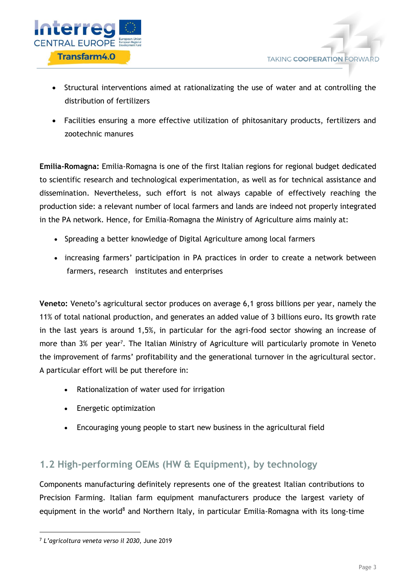

- Structural interventions aimed at rationalizating the use of water and at controlling the distribution of fertilizers
- Facilities ensuring a more effective utilization of phitosanitary products, fertilizers and zootechnic manures

**Emilia-Romagna:** Emilia-Romagna is one of the first Italian regions for regional budget dedicated to scientific research and technological experimentation, as well as for technical assistance and dissemination. Nevertheless, such effort is not always capable of effectively reaching the production side: a relevant number of local farmers and lands are indeed not properly integrated in the PA network. Hence, for Emilia-Romagna the Ministry of Agriculture aims mainly at:

- Spreading a better knowledge of Digital Agriculture among local farmers
- increasing farmers' participation in PA practices in order to create a network between farmers, research institutes and enterprises

**Veneto:** Veneto's agricultural sector produces on average 6,1 gross billions per year, namely the 11% of total national production, and generates an added value of 3 billions euro**.** Its growth rate in the last years is around 1,5%, in particular for the agri-food sector showing an increase of more than 3% per year<sup>7</sup>. The Italian Ministry of Agriculture will particularly promote in Veneto the improvement of farms' profitability and the generational turnover in the agricultural sector. A particular effort will be put therefore in:

- Rationalization of water used for irrigation
- Energetic optimization
- Encouraging young people to start new business in the agricultural field

## <span id="page-3-0"></span>**1.2 High-performing OEMs (HW & Equipment), by technology**

Components manufacturing definitely represents one of the greatest Italian contributions to Precision Farming. Italian farm equipment manufacturers produce the largest variety of equipment in the world<sup>8</sup> and Northern Italy, in particular Emilia-Romagna with its long-time

-

<sup>7</sup> *L'agricoltura veneta verso il 2030*, June 2019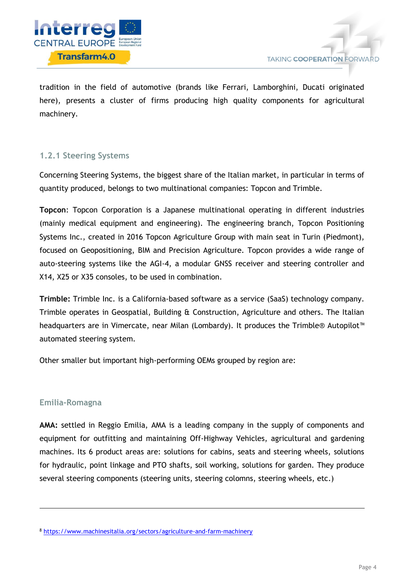

tradition in the field of automotive (brands like Ferrari, Lamborghini, Ducati originated here), presents a cluster of firms producing high quality components for agricultural machinery.

## <span id="page-4-0"></span>**1.2.1 Steering Systems**

Concerning Steering Systems, the biggest share of the Italian market, in particular in terms of quantity produced, belongs to two multinational companies: Topcon and Trimble.

**Topcon**: Topcon Corporation is a Japanese multinational operating in different industries (mainly medical equipment and engineering). The engineering branch, Topcon Positioning Systems Inc., created in 2016 Topcon Agriculture Group with main seat in Turin (Piedmont), focused on Geopositioning, BIM and Precision Agriculture. Topcon provides a wide range of auto-steering systems like the AGI-4, a modular GNSS receiver and steering controller and X14, X25 or X35 consoles, to be used in combination.

**Trimble:** Trimble Inc. is a California-based software as a service (SaaS) technology company. Trimble operates in Geospatial, Building & Construction, Agriculture and others. The Italian headquarters are in Vimercate, near Milan (Lombardy). It produces the Trimble® Autopilot<sup>™</sup> automated steering system.

Other smaller but important high-performing OEMs grouped by region are:

#### **Emilia-Romagna**

-

**AMA:** settled in Reggio Emilia, AMA is a leading company in the supply of components and equipment for outfitting and maintaining Off-Highway Vehicles, agricultural and gardening machines. Its 6 product areas are: solutions for cabins, seats and steering wheels, solutions for hydraulic, point linkage and PTO shafts, soil working, solutions for garden. They produce several steering components (steering units, steering colomns, steering wheels, etc.)

<sup>8</sup> <https://www.machinesitalia.org/sectors/agriculture-and-farm-machinery>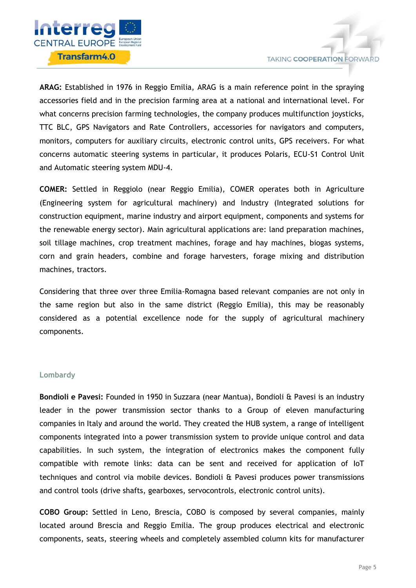

**ARAG:** Established in 1976 in Reggio Emilia, ARAG is a main reference point in the spraying accessories field and in the precision farming area at a national and international level. For what concerns precision farming technologies, the company produces multifunction joysticks, TTC BLC, GPS Navigators and Rate Controllers, accessories for navigators and computers, monitors, computers for auxiliary circuits, electronic control units, GPS receivers. For what concerns automatic steering systems in particular, it produces Polaris, ECU-S1 Control Unit and Automatic steering system MDU-4.

**COMER:** Settled in Reggiolo (near Reggio Emilia), COMER operates both in Agriculture (Engineering system for agricultural machinery) and Industry (Integrated solutions for construction equipment, marine industry and airport equipment, components and systems for the renewable energy sector). Main agricultural applications are: land preparation machines, soil tillage machines, crop treatment machines, forage and hay machines, biogas systems, corn and grain headers, combine and forage harvesters, forage mixing and distribution machines, tractors.

Considering that three over three Emilia-Romagna based relevant companies are not only in the same region but also in the same district (Reggio Emilia), this may be reasonably considered as a potential excellence node for the supply of agricultural machinery components.

#### **Lombardy**

**Bondioli e Pavesi:** Founded in 1950 in Suzzara (near Mantua), Bondioli & Pavesi is an industry leader in the power transmission sector thanks to a Group of eleven manufacturing companies in Italy and around the world. They created the HUB system, a range of intelligent components integrated into a power transmission system to provide unique control and data capabilities. In such system, the integration of electronics makes the component fully compatible with remote links: data can be sent and received for application of IoT techniques and control via mobile devices. Bondioli & Pavesi produces power transmissions and control tools (drive shafts, gearboxes, servocontrols, electronic control units).

**COBO Group:** Settled in Leno, Brescia, COBO is composed by several companies, mainly located around Brescia and Reggio Emilia. The group produces electrical and electronic components, seats, steering wheels and completely assembled column kits for manufacturer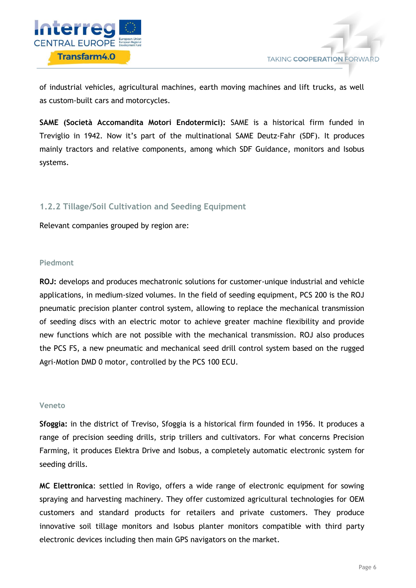

of industrial vehicles, agricultural machines, earth moving machines and lift trucks, as well as custom-built cars and motorcycles.

**SAME (Società Accomandita Motori Endotermici):** SAME is a historical firm funded in Treviglio in 1942. Now it's part of the multinational SAME Deutz-Fahr (SDF). It produces mainly tractors and relative components, among which SDF Guidance, monitors and Isobus systems.

#### <span id="page-6-0"></span>**1.2.2 Tillage/Soil Cultivation and Seeding Equipment**

Relevant companies grouped by region are:

#### **Piedmont**

**ROJ:** develops and produces mechatronic solutions for customer-unique industrial and vehicle applications, in medium-sized volumes. In the field of seeding equipment, PCS 200 is the ROJ pneumatic precision planter control system, allowing to replace the mechanical transmission of seeding discs with an electric motor to achieve greater machine flexibility and provide new functions which are not possible with the mechanical transmission. ROJ also produces the PCS FS, a new pneumatic and mechanical seed drill control system based on the rugged Agri-Motion DMD 0 motor, controlled by the PCS 100 ECU.

#### **Veneto**

**Sfoggia:** in the district of Treviso, Sfoggia is a historical firm founded in 1956. It produces a range of precision seeding drills, strip trillers and cultivators. For what concerns Precision Farming, it produces Elektra Drive and Isobus, a completely automatic electronic system for seeding drills.

**MC Elettronica**: settled in Rovigo, offers a wide range of electronic equipment for sowing spraying and harvesting machinery. They offer customized agricultural technologies for OEM customers and standard products for retailers and private customers. They produce innovative soil tillage monitors and Isobus planter monitors compatible with third party electronic devices including then main GPS navigators on the market.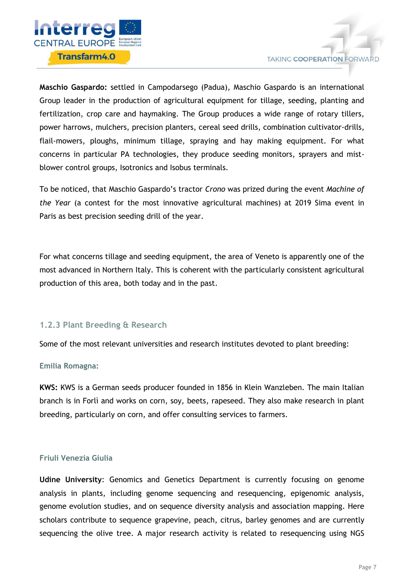

**Maschio Gaspardo:** settled in Campodarsego (Padua), Maschio Gaspardo is an international Group leader in the production of agricultural equipment for tillage, seeding, planting and fertilization, crop care and haymaking. The Group produces a wide range of rotary tillers, power harrows, mulchers, precision planters, cereal seed drills, combination cultivator-drills, flail-mowers, ploughs, minimum tillage, spraying and hay making equipment. For what concerns in particular PA technologies, they produce seeding monitors, sprayers and mistblower control groups, Isotronics and Isobus terminals.

To be noticed, that Maschio Gaspardo's tractor *Crono* was prized during the event *Machine of the Year* (a contest for the most innovative agricultural machines) at 2019 Sima event in Paris as best precision seeding drill of the year.

For what concerns tillage and seeding equipment, the area of Veneto is apparently one of the most advanced in Northern Italy. This is coherent with the particularly consistent agricultural production of this area, both today and in the past.

#### <span id="page-7-0"></span>**1.2.3 Plant Breeding & Research**

Some of the most relevant universities and research institutes devoted to plant breeding:

#### **Emilia Romagna:**

**KWS:** KWS is a German seeds producer founded in 1856 in Klein Wanzleben. The main Italian branch is in Forlì and works on corn, soy, beets, rapeseed. They also make research in plant breeding, particularly on corn, and offer consulting services to farmers.

#### **Friuli Venezia Giulia**

**Udine University**: Genomics and Genetics Department is currently focusing on genome analysis in plants, including genome sequencing and resequencing, epigenomic analysis, genome evolution studies, and on sequence diversity analysis and association mapping. Here scholars contribute to sequence grapevine, peach, citrus, barley genomes and are currently sequencing the olive tree. A major research activity is related to resequencing using NGS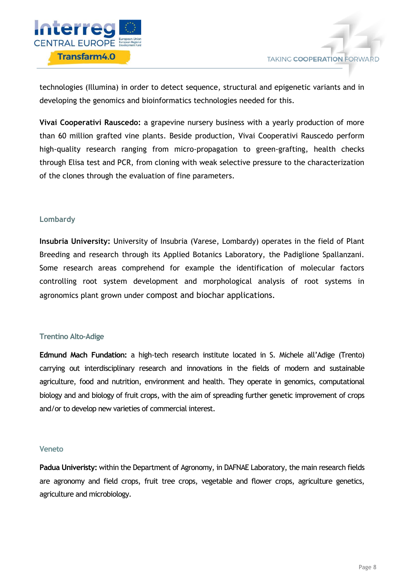

technologies (Illumina) in order to detect sequence, structural and epigenetic variants and in developing the genomics and bioinformatics technologies needed for this.

**Vivai Cooperativi Rauscedo:** a grapevine nursery business with a yearly production of more than 60 million grafted vine plants. Beside production, Vivai Cooperativi Rauscedo perform high-quality research ranging from micro-propagation to green-grafting, health checks through Elisa test and PCR, from cloning with weak selective pressure to the characterization of the clones through the evaluation of fine parameters.

#### **Lombardy**

**Insubria University:** University of Insubria (Varese, Lombardy) operates in the field of Plant Breeding and research through its Applied Botanics Laboratory, the Padiglione Spallanzani. Some research areas comprehend for example the identification of molecular factors controlling root system development and morphological analysis of root systems in agronomics plant grown under compost and biochar applications.

#### **Trentino Alto-Adige**

**Edmund Mach Fundation:** a high-tech research institute located in S. Michele all'Adige (Trento) carrying out interdisciplinary research and innovations in the fields of modern and sustainable agriculture, food and nutrition, environment and health. They operate in genomics, computational biology and and biology of fruit crops, with the aim of spreading further genetic improvement of crops and/or to develop new varieties of commercial interest.

#### **Veneto**

**Padua Univeristy:** within the Department of Agronomy, in DAFNAE Laboratory, the main research fields are agronomy and field crops, fruit tree crops, vegetable and flower crops, agriculture genetics, agriculture and microbiology.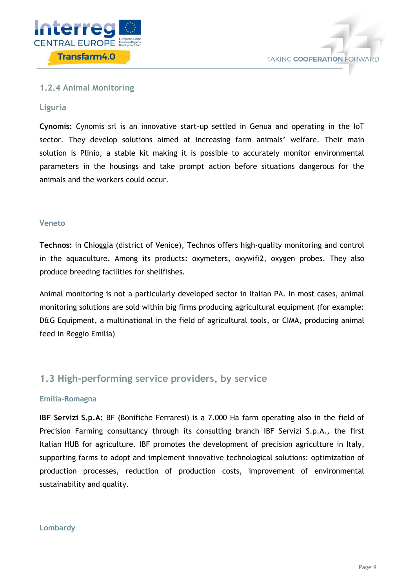



#### <span id="page-9-0"></span>**1.2.4 Animal Monitoring**

#### **Liguria**

**Cynomis:** Cynomis srl is an innovative start-up settled in Genua and operating in the IoT sector. They develop solutions aimed at increasing farm animals' welfare. Their main solution is Plinio, a stable kit making it is possible to accurately monitor environmental parameters in the housings and take prompt action before situations dangerous for the animals and the workers could occur.

#### **Veneto**

**Technos:** in Chioggia (district of Venice), Technos offers high-quality monitoring and control in the aquaculture**.** Among its products: oxymeters, oxywifi2, oxygen probes. They also produce breeding facilities for shellfishes.

Animal monitoring is not a particularly developed sector in Italian PA. In most cases, animal monitoring solutions are sold within big firms producing agricultural equipment (for example: D&G Equipment, a multinational in the field of agricultural tools, or CIMA, producing animal feed in Reggio Emilia)

## <span id="page-9-1"></span>**1.3 High-performing service providers, by service**

#### **Emilia-Romagna**

**IBF Servizi S.p.A:** BF (Bonifiche Ferraresi) is a 7.000 Ha farm operating also in the field of Precision Farming consultancy through its consulting branch IBF Servizi S.p.A., the first Italian HUB for agriculture. IBF promotes the development of precision agriculture in Italy, supporting farms to adopt and implement innovative technological solutions: optimization of production processes, reduction of production costs, improvement of environmental sustainability and quality.

#### **Lombardy**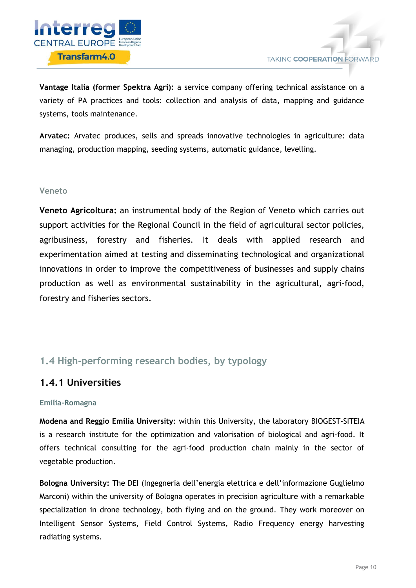

**Vantage Italia (former Spektra Agri):** a service company offering technical assistance on a variety of PA practices and tools: collection and analysis of data, mapping and guidance systems, tools maintenance.

**Arvatec:** Arvatec produces, sells and spreads innovative technologies in agriculture: data managing, production mapping, seeding systems, automatic guidance, levelling.

#### **Veneto**

**Veneto Agricoltura:** an instrumental body of the Region of Veneto which carries out support activities for the Regional Council in the field of agricultural sector policies, agribusiness, forestry and fisheries. It deals with applied research and experimentation aimed at testing and disseminating technological and organizational innovations in order to improve the competitiveness of businesses and supply chains production as well as environmental sustainability in the agricultural, agri-food, forestry and fisheries sectors.

## <span id="page-10-0"></span>**1.4 High-performing research bodies, by typology**

## **1.4.1 Universities**

#### **Emilia-Romagna**

**Modena and Reggio Emilia University**: within this University, the laboratory BIOGEST-SITEIA is a research institute for the optimization and valorisation of biological and agri-food. It offers technical consulting for the agri-food production chain mainly in the sector of vegetable production.

**Bologna University:** The DEI (Ingegneria dell'energia elettrica e dell'informazione Guglielmo Marconi) within the university of Bologna operates in precision agriculture with a remarkable specialization in drone technology, both flying and on the ground. They work moreover on Intelligent Sensor Systems, Field Control Systems, Radio Frequency energy harvesting radiating systems.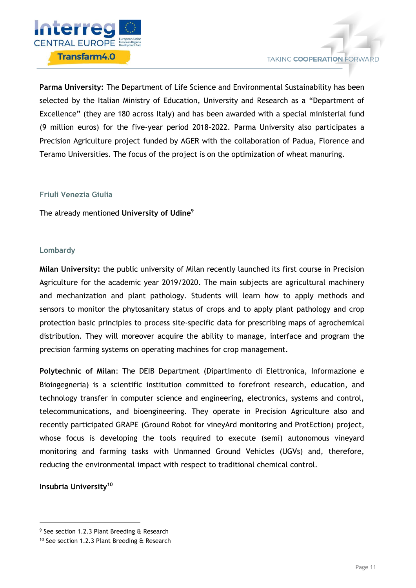

**Parma University:** The Department of Life Science and Environmental Sustainability has been selected by the Italian Ministry of Education, University and Research as a "Department of Excellence" (they are 180 across Italy) and has been awarded with a special ministerial fund (9 million euros) for the five-year period 2018-2022. Parma University also participates a Precision Agriculture project funded by AGER with the collaboration of Padua, Florence and Teramo Universities. The focus of the project is on the optimization of wheat manuring.

#### **Friuli Venezia Giulia**

The already mentioned **University of Udine<sup>9</sup>**

#### **Lombardy**

**Milan University:** the public university of Milan recently launched its first course in Precision Agriculture for the academic year 2019/2020. The main subjects are agricultural machinery and mechanization and plant pathology. Students will learn how to apply methods and sensors to monitor the phytosanitary status of crops and to apply plant pathology and crop protection basic principles to process site-specific data for prescribing maps of agrochemical distribution. They will moreover acquire the ability to manage, interface and program the precision farming systems on operating machines for crop management.

**Polytechnic of Milan**: The DEIB Department (Dipartimento di Elettronica, Informazione e Bioingegneria) is a scientific institution committed to forefront research, education, and technology transfer in computer science and engineering, electronics, systems and control, telecommunications, and bioengineering. They operate in Precision Agriculture also and recently participated GRAPE (Ground Robot for vineyArd monitoring and ProtEction) project, whose focus is developing the tools required to execute (semi) autonomous vineyard monitoring and farming tasks with Unmanned Ground Vehicles (UGVs) and, therefore, reducing the environmental impact with respect to traditional chemical control.

**Insubria University<sup>10</sup>**

-

<sup>&</sup>lt;sup>9</sup> See section 1.2.3 Plant Breeding & Research

<sup>10</sup> See section 1.2.3 Plant Breeding & Research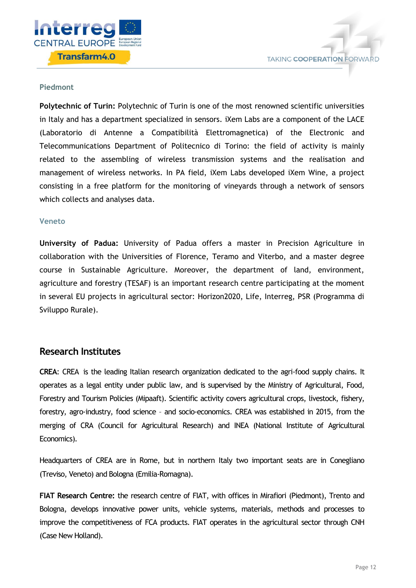

#### **Piedmont**

**Polytechnic of Turin:** Polytechnic of Turin is one of the most renowned scientific universities in Italy and has a department specialized in sensors. iXem Labs are a component of the LACE (Laboratorio di Antenne a Compatibilità Elettromagnetica) of the Electronic and Telecommunications Department of Politecnico di Torino: the field of activity is mainly related to the assembling of wireless transmission systems and the realisation and management of wireless networks. In PA field, iXem Labs developed iXem Wine, a project consisting in a free platform for the monitoring of vineyards through a network of sensors which collects and analyses data.

#### **Veneto**

**University of Padua:** University of Padua offers a master in Precision Agriculture in collaboration with the Universities of Florence, Teramo and Viterbo, and a master degree course in Sustainable Agriculture. Moreover, the department of land, environment, agriculture and forestry (TESAF) is an important research centre participating at the moment in several EU projects in agricultural sector: Horizon2020, Life, Interreg, PSR (Programma di Sviluppo Rurale).

#### **Research Institutes**

**CREA**: CREA is the leading Italian research organization dedicated to the agri-food supply chains. It operates as a legal entity under public law, and is supervised by the Ministry of Agricultural, Food, Forestry and Tourism Policies (Mipaaft). Scientific activity covers agricultural crops, livestock, fishery, forestry, agro-industry, food science – and socio-economics. CREA was established in 2015, from the merging of CRA (Council for Agricultural Research) and INEA (National Institute of Agricultural Economics).

Headquarters of CREA are in Rome, but in northern Italy two important seats are in Conegliano (Treviso, Veneto) and Bologna (Emilia-Romagna).

**FIAT Research Centre:** the research centre of FIAT, with offices in Mirafiori (Piedmont), Trento and Bologna, develops innovative power units, vehicle systems, materials, methods and processes to improve the competitiveness of FCA products. FIAT operates in the agricultural sector through CNH (Case New Holland).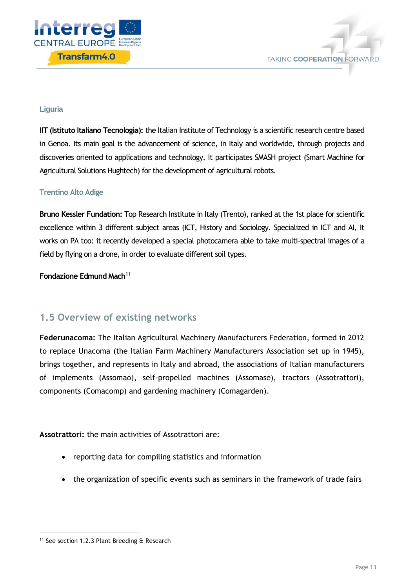



#### **Liguria**

**IIT (Istituto Italiano Tecnologia):** the Italian Institute of Technology is a scientific research centre based in Genoa. Its main goal is the advancement of science, in Italy and worldwide, through projects and discoveries oriented to applications and technology. It participates SMASH project (Smart Machine for Agricultural Solutions Hughtech) for the development of agricultural robots.

#### **Trentino Alto Adige**

**Bruno Kessler Fundation:** Top Research Institute in Italy (Trento), ranked at the 1st place for scientific excellence within 3 different subject areas (ICT, History and Sociology. Specialized in ICT and AI, It works on PA too: it recently developed a special photocamera able to take multi-spectral images of a field by flying on a drone, in order to evaluate different soil types.

**Fondazione Edmund Mach<sup>11</sup>**

## <span id="page-13-0"></span>**1.5 Overview of existing networks**

**Federunacoma:** The Italian Agricultural Machinery Manufacturers Federation, formed in 2012 to replace Unacoma (the Italian Farm Machinery Manufacturers Association set up in 1945), brings together, and represents in Italy and abroad, the associations of Italian manufacturers of implements (Assomao), self-propelled machines (Assomase), tractors (Assotrattori), components (Comacomp) and gardening machinery (Comagarden).

**Assotrattori:** the main activities of Assotrattori are:

- reporting data for compiling statistics and information
- the organization of specific events such as seminars in the framework of trade fairs

-

<sup>&</sup>lt;sup>11</sup> See section 1.2.3 Plant Breeding & Research